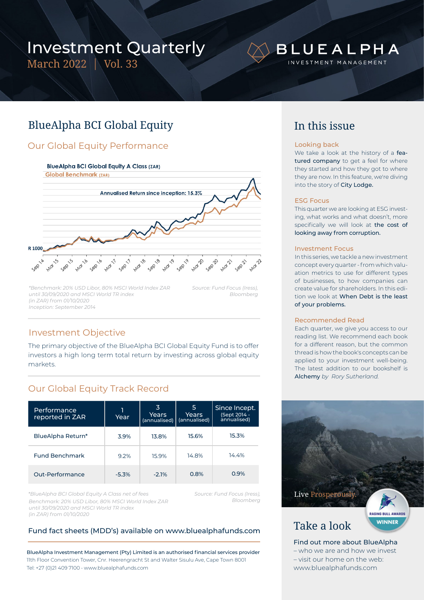# Investment Quarterly

March 2022 | Vol. 33

# **BLUEALPHA**

INVESTMENT MANAGEMENT

## BlueAlpha BCI Global Equity

## Our Global Equity Performance

### **BlueAlpha BCI Global Equity A Class (ZAR)**



*\*Benchmark: 20% USD Libor, 80% MSCI World Index ZAR until 30/09/2020 and MSCI World TR index (in ZAR) from 01/10/2020 Inception: September 2014*

*Source: Fund Focus (Iress), Bloomberg*

## Investment Objective

The primary objective of the BlueAlpha BCI Global Equity Fund is to offer investors a high long term total return by investing across global equity markets.

## Our Global Equity Track Record

| Performance<br>reported in ZAR | Year    | 3<br>Years<br>(annualised) | 5<br>Years<br>(annualised) | Since Incept.<br>(Sept 2014 -<br>annualised) |
|--------------------------------|---------|----------------------------|----------------------------|----------------------------------------------|
| BlueAlpha Return*              | 3.9%    | 13.8%                      | 15.6%                      | 15.3%                                        |
| <b>Fund Benchmark</b>          | 9.2%    | 15.9%                      | 14.8%                      | 14.4%                                        |
| Out-Performance                | $-5.3%$ | $-2.1%$                    | 0.8%                       | 0.9%                                         |

*Benchmark: 20% USD Libor, 80% MSCI World Index ZAR until 30/09/2020 and MSCI World TR index (in ZAR) from 01/10/2020 \*BlueAlpha BCI Global Equity A Class net of fees*

*Source: Fund Focus (Iress), Bloomberg*

## Fund fact sheets (MDD's) available on www.bluealphafunds.com

BlueAlpha Investment Management (Pty) Limited is an authorised financial services provider 11th Floor Convention Tower, Cnr. Heerengracht St and Walter Sisulu Ave, Cape Town 8001 Tel: +27 (0)21 409 7100 • www.bluealphafunds.com

## In this issue

### Looking back

We take a look at the history of a featured company to get a feel for where they started and how they got to where they are now. In this feature, we're diving into the story of City Lodge.

### ESG Focus

This quarter we are looking at ESG investing, what works and what doesn't, more specifically we will look at the cost of looking away from corruption.

#### Investment Focus

In this series, we tackle a new investment concept every quarter - from which valuation metrics to use for different types of businesses, to how companies can create value for shareholders. In this edition we look at When Debt is the least of your problems.

#### Recommended Read

Each quarter, we give you access to our reading list. We recommend each book for a different reason, but the common thread is how the book's concepts can be applied to your investment well-being. The latest addition to our bookshelf is Alchemy *by Rory Sutherland.*



www.bluealphafunds.com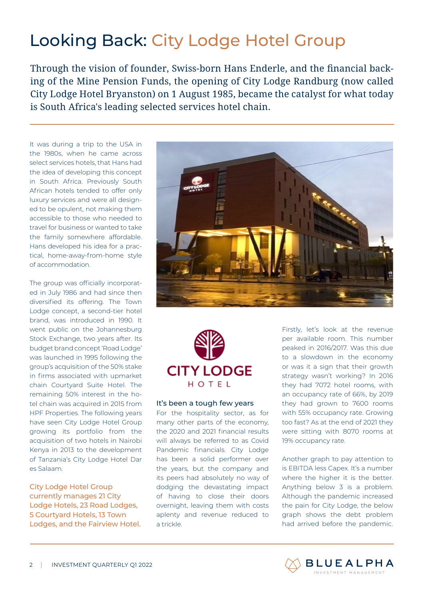# Looking Back: City Lodge Hotel Group

Through the vision of founder, Swiss-born Hans Enderle, and the financial backing of the Mine Pension Funds, the opening of City Lodge Randburg (now called City Lodge Hotel Bryanston) on 1 August 1985, became the catalyst for what today is South Africa's leading selected services hotel chain.

It was during a trip to the USA in the 1980s, when he came across select services hotels, that Hans had the idea of developing this concept in South Africa. Previously South African hotels tended to offer only luxury services and were all designed to be opulent, not making them accessible to those who needed to travel for business or wanted to take the family somewhere affordable. Hans developed his idea for a practical, home-away-from-home style of accommodation.

The group was officially incorporated in July 1986 and had since then diversified its offering. The Town Lodge concept, a second-tier hotel brand, was introduced in 1990. It went public on the Johannesburg Stock Exchange, two years after. Its budget brand concept 'Road Lodge' was launched in 1995 following the group's acquisition of the 50% stake in firms associated with upmarket chain Courtyard Suite Hotel. The remaining 50% interest in the hotel chain was acquired in 2015 from HPF Properties. The following years have seen City Lodge Hotel Group growing its portfolio from the acquisition of two hotels in Nairobi Kenya in 2013 to the development of Tanzania's City Lodge Hotel Dar es Salaam.

## City Lodge Hotel Group currently manages 21 City Lodge Hotels, 23 Road Lodges, 5 Courtyard Hotels, 13 Town Lodges, and the Fairview Hotel.





## It's been a tough few years

For the hospitality sector, as for many other parts of the economy, the 2020 and 2021 financial results will always be referred to as Covid Pandemic financials. City Lodge has been a solid performer over the years, but the company and its peers had absolutely no way of dodging the devastating impact of having to close their doors overnight, leaving them with costs aplenty and revenue reduced to a trickle.

Firstly, let's look at the revenue per available room. This number peaked in 2016/2017. Was this due to a slowdown in the economy or was it a sign that their growth strategy wasn't working? In 2016 they had 7072 hotel rooms, with an occupancy rate of 66%, by 2019 they had grown to 7600 rooms with 55% occupancy rate. Growing too fast? As at the end of 2021 they were sitting with 8070 rooms at 19% occupancy rate.

Another graph to pay attention to is EBITDA less Capex. It's a number where the higher it is the better. Anything below 3 is a problem. Although the pandemic increased the pain for City Lodge, the below graph shows the debt problem had arrived before the pandemic.

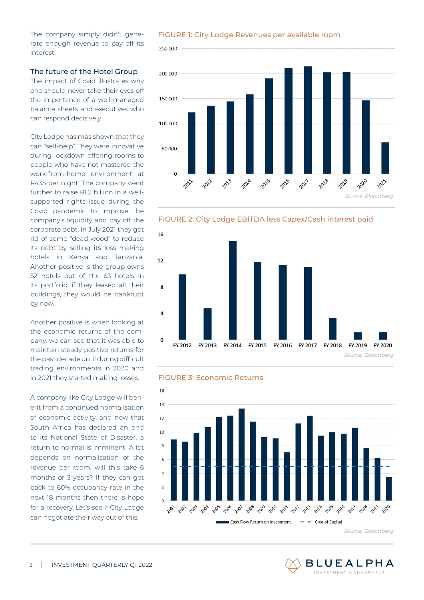The company simply didn't generate enough revenue to pay off its interest.

### The future of the Hotel Group

The impact of Covid illustrates why one should never take their eyes off the importance of a well-managed balance sheets and executives who can respond decisively.

City Lodge has mas shown that they can "self-help" They were innovative during lockdown offering rooms to people who have not mastered the work-from-home environment at R435 per night. The company went further to raise R12 billion in a wellsupported rights issue during the Covid pandemic to improve the company's liquidity and pay off the corporate debt. In July 2021 they got rid of some "dead wood" to reduce its debt by selling its loss making hotels in Kenya and Tanzania. Another positive is the group owns 52 hotels out of the 63 hotels in its portfolio, if they leased all their buildings, they would be bankrupt by now.

Another positive is when looking at the economic returns of the company, we can see that it was able to maintain steady positive returns for the past decade until during difficult trading environments in 2020 and in 2021 they started making losses.

A company like City Lodge will benefit from a continued normalisation of economic activity, and now that South Africa has declared an end to its National State of Disaster, a return to normal is imminent. A lot depends on normalisation of the revenue per room, will this take 6 months or 3 years? If they can get back to 60% occupancy rate in the next 18 months then there is hope for a recovery. Let's see if City Lodge can negotiate their way out of this.

FIGURE 1: City Lodge Revenues per available room











*Source: Bloomberg*

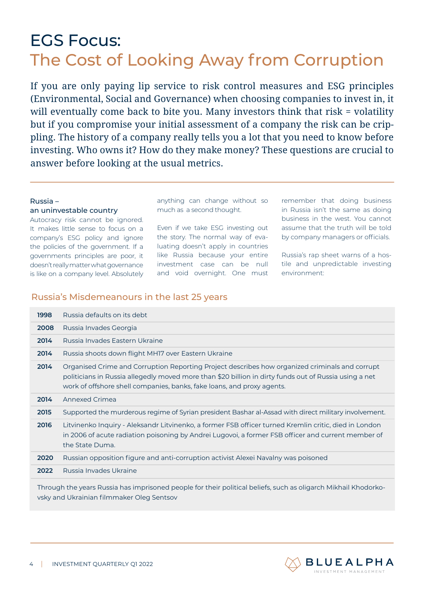# EGS Focus: The Cost of Looking Away from Corruption

If you are only paying lip service to risk control measures and ESG principles (Environmental, Social and Governance) when choosing companies to invest in, it will eventually come back to bite you. Many investors think that risk = volatility but if you compromise your initial assessment of a company the risk can be crippling. The history of a company really tells you a lot that you need to know before investing. Who owns it? How do they make money? These questions are crucial to answer before looking at the usual metrics.

## Russia –

## an uninvestable country

Autocracy risk cannot be ignored. It makes little sense to focus on a company's ESG policy and ignore the policies of the government. If a governments principles are poor, it doesn't really matter what governance is like on a company level. Absolutely

anything can change without so much as a second thought.

Even if we take ESG investing out the story. The normal way of evaluating doesn't apply in countries like Russia because your entire investment case can be null and void overnight. One must

remember that doing business in Russia isn't the same as doing business in the west. You cannot assume that the truth will be told by company managers or officials.

Russia's rap sheet warns of a hostile and unpredictable investing environment:

## Russia's Misdemeanours in the last 25 years

| 1998 | Russia defaults on its debt                                                                                                                                                                                                                                                       |
|------|-----------------------------------------------------------------------------------------------------------------------------------------------------------------------------------------------------------------------------------------------------------------------------------|
| 2008 | Russia Invades Georgia                                                                                                                                                                                                                                                            |
| 2014 | Russia Invades Fastern Ukraine                                                                                                                                                                                                                                                    |
| 2014 | Russia shoots down flight MHI7 over Eastern Ukraine                                                                                                                                                                                                                               |
| 2014 | Organised Crime and Corruption Reporting Project describes how organized criminals and corrupt<br>politicians in Russia allegedly moved more than \$20 billion in dirty funds out of Russia using a net<br>work of offshore shell companies, banks, fake loans, and proxy agents. |
| 2014 | Annexed Crimea                                                                                                                                                                                                                                                                    |
| 2015 | Supported the murderous regime of Syrian president Bashar al-Assad with direct military involvement.                                                                                                                                                                              |
| 2016 | Litvinenko Inquiry - Aleksandr Litvinenko, a former FSB officer turned Kremlin critic, died in London<br>in 2006 of acute radiation poisoning by Andrei Lugovoi, a former FSB officer and current member of<br>the State Duma.                                                    |
| 2020 | Russian opposition figure and anti-corruption activist Alexei Navalny was poisoned                                                                                                                                                                                                |
|      |                                                                                                                                                                                                                                                                                   |
| 2022 | Russia Invades Ukraine                                                                                                                                                                                                                                                            |

Through the years Russia has imprisoned people for their political beliefs, such as oligarch Mikhail Khodorkovsky and Ukrainian filmmaker Oleg Sentsov

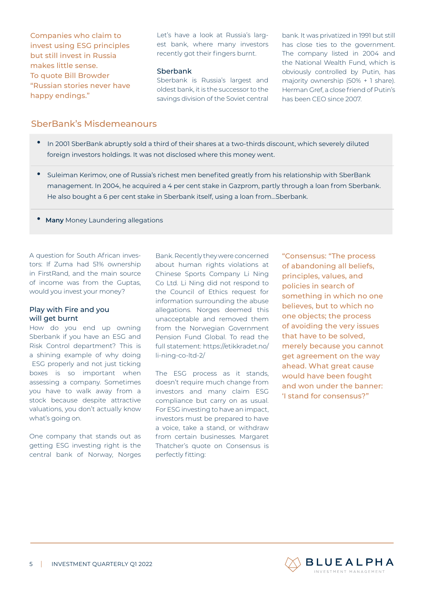Companies who claim to invest using ESG principles but still invest in Russia makes little sense. To quote Bill Browder "Russian stories never have happy endings."

Let's have a look at Russia's largest bank, where many investors recently got their fingers burnt.

### **Sberbank**

Sberbank is Russia's largest and oldest bank, it is the successor to the savings division of the Soviet central

bank. It was privatized in 1991 but still has close ties to the government. The company listed in 2004 and the National Wealth Fund, which is obviously controlled by Putin, has majority ownership (50% + 1 share). Herman Gref, a close friend of Putin's has been CEO since 2007.

## SberBank's Misdemeanours

- •In 2001 SberBank abruptly sold a third of their shares at a two-thirds discount, which severely diluted foreign investors holdings. It was not disclosed where this money went.
- •Suleiman Kerimov, one of Russia's richest men benefited greatly from his relationship with SberBank management. In 2004, he acquired a 4 per cent stake in Gazprom, partly through a loan from Sberbank. He also bought a 6 per cent stake in Sberbank itself, using a loan from…Sberbank.
- • **Many** Money Laundering allegations

A question for South African investors: If Zuma had 51% ownership in FirstRand, and the main source of income was from the Guptas, would you invest your money?

### Play with Fire and you will get burnt

How do you end up owning Sberbank if you have an ESG and Risk Control department? This is a shining example of why doing ESG properly and not just ticking boxes is so important when assessing a company. Sometimes you have to walk away from a stock because despite attractive valuations, you don't actually know what's going on.

One company that stands out as getting ESG investing right is the central bank of Norway, Norges

Bank. Recently they were concerned about human rights violations at Chinese Sports Company Li Ning Co Ltd. Li Ning did not respond to the Council of Ethics request for information surrounding the abuse allegations. Norges deemed this unacceptable and removed them from the Norwegian Government Pension Fund Global. To read the full statement: https://etikkradet.no/ li-ning-co-ltd-2/

The ESG process as it stands, doesn't require much change from investors and many claim ESG compliance but carry on as usual. For ESG investing to have an impact, investors must be prepared to have a voice, take a stand, or withdraw from certain businesses. Margaret Thatcher's quote on Consensus is perfectly fitting:

"Consensus: "The process of abandoning all beliefs, principles, values, and policies in search of something in which no one believes, but to which no one objects; the process of avoiding the very issues that have to be solved, merely because you cannot get agreement on the way ahead. What great cause would have been fought and won under the banner: 'I stand for consensus?"

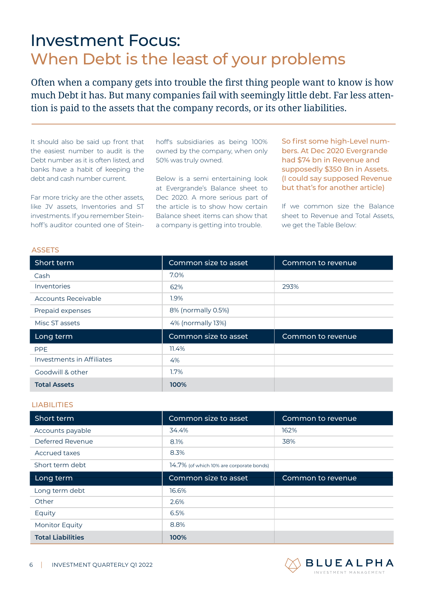## Investment Focus: When Debt is the least of your problems

Often when a company gets into trouble the first thing people want to know is how much Debt it has. But many companies fail with seemingly little debt. Far less attention is paid to the assets that the company records, or its other liabilities.

It should also be said up front that the easiest number to audit is the Debt number as it is often listed, and banks have a habit of keeping the debt and cash number current.

Far more tricky are the other assets, like JV assets, Inventories and ST investments. If you remember Steinhoff's auditor counted one of Steinhoff's subsidiaries as being 100% owned by the company, when only 50% was truly owned.

Below is a semi entertaining look at Evergrande's Balance sheet to Dec 2020. A more serious part of the article is to show how certain Balance sheet items can show that a company is getting into trouble.

So first some high-Level numbers. At Dec 2020 Evergrande had \$74 bn in Revenue and supposedly \$350 Bn in Assets. (I could say supposed Revenue but that's for another article)

If we common size the Balance sheet to Revenue and Total Assets, we get the Table Below:

| <b>ASSETS</b>                    |                      |                   |  |
|----------------------------------|----------------------|-------------------|--|
| Short term                       | Common size to asset | Common to revenue |  |
| Cash                             | 7.0%                 |                   |  |
| Inventories                      | 62%                  | 293%              |  |
| Accounts Receivable              | $1.9\%$              |                   |  |
| Prepaid expenses                 | 8% (normally 0.5%)   |                   |  |
| Misc ST assets                   | 4% (normally 13%)    |                   |  |
| Long term                        | Common size to asset | Common to revenue |  |
| <b>PPE</b>                       | 11.4%                |                   |  |
| <b>Investments in Affiliates</b> | 4%                   |                   |  |
| Goodwill & other                 | $1.7\%$              |                   |  |
| <b>Total Assets</b>              | 100%                 |                   |  |

### LIABILITIES

| Short term       | Common size to asset                     | Common to revenue |  |
|------------------|------------------------------------------|-------------------|--|
| Accounts payable | 34.4%                                    | 162%              |  |
| Deferred Revenue | 8.1%                                     | 38%               |  |
| Accrued taxes    | 8.3%                                     |                   |  |
| Short term debt  | 14.7% (of which 10% are corporate bonds) |                   |  |
| Long term        | Common size to asset                     | Common to revenue |  |
| Long term debt   | 16.6%                                    |                   |  |
|                  |                                          |                   |  |
| Other            | 2.6%                                     |                   |  |
| Equity           | 6.5%                                     |                   |  |
| Monitor Equity   | 8.8%                                     |                   |  |

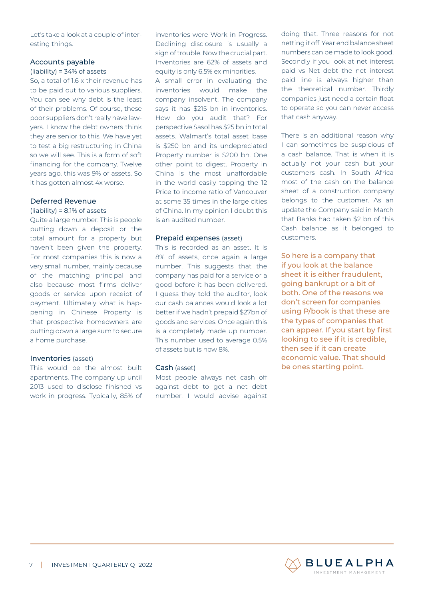Let's take a look at a couple of interesting things.

## Accounts payable

#### (liability) = 34% of assets

So, a total of 1.6 x their revenue has to be paid out to various suppliers. You can see why debt is the least of their problems. Of course, these poor suppliers don't really have lawyers. I know the debt owners think they are senior to this. We have yet to test a big restructuring in China so we will see. This is a form of soft financing for the company. Twelve years ago, this was 9% of assets. So it has gotten almost 4x worse.

## Deferred Revenue

#### (liability) = 8.1% of assets

Quite a large number. This is people putting down a deposit or the total amount for a property but haven't been given the property. For most companies this is now a very small number, mainly because of the matching principal and also because most firms deliver goods or service upon receipt of payment. Ultimately what is happening in Chinese Property is that prospective homeowners are putting down a large sum to secure a home purchase.

### Inventories (asset)

This would be the almost built apartments. The company up until 2013 used to disclose finished vs work in progress. Typically, 85% of inventories were Work in Progress. Declining disclosure is usually a sign of trouble. Now the crucial part. Inventories are 62% of assets and equity is only 6.5% ex minorities.

A small error in evaluating the inventories would make the company insolvent. The company says it has \$215 bn in inventories. How do you audit that? For perspective Sasol has \$25 bn in total assets. Walmart's total asset base is \$250 bn and its undepreciated Property number is \$200 bn. One other point to digest. Property in China is the most unaffordable in the world easily topping the 12 Price to income ratio of Vancouver at some 35 times in the large cities of China. In my opinion I doubt this is an audited number.

### Prepaid expenses (asset)

This is recorded as an asset. It is 8% of assets, once again a large number. This suggests that the company has paid for a service or a good before it has been delivered. I guess they told the auditor, look our cash balances would look a lot better if we hadn't prepaid \$27bn of goods and services. Once again this is a completely made up number. This number used to average 0.5% of assets but is now 8%.

### Cash (asset)

Most people always net cash off against debt to get a net debt number. I would advise against

doing that. Three reasons for not netting it off. Year end balance sheet numbers can be made to look good. Secondly if you look at net interest paid vs Net debt the net interest paid line is always higher than the theoretical number. Thirdly companies just need a certain float to operate so you can never access that cash anyway.

There is an additional reason why I can sometimes be suspicious of a cash balance. That is when it is actually not your cash but your customers cash. In South Africa most of the cash on the balance sheet of a construction company belongs to the customer. As an update the Company said in March that Banks had taken \$2 bn of this Cash balance as it belonged to customers.

So here is a company that if you look at the balance sheet it is either fraudulent, going bankrupt or a bit of both. One of the reasons we don't screen for companies using P/book is that these are the types of companies that can appear. If you start by first looking to see if it is credible, then see if it can create economic value. That should be ones starting point.

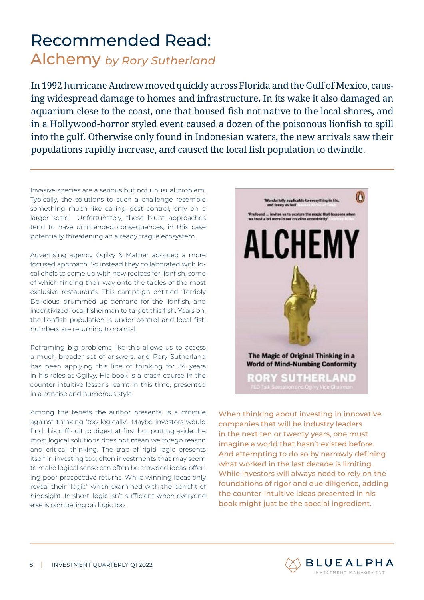# Recommended Read: Alchemy *by Rory Sutherland*

In 1992 hurricane Andrew moved quickly across Florida and the Gulf of Mexico, causing widespread damage to homes and infrastructure. In its wake it also damaged an aquarium close to the coast, one that housed fish not native to the local shores, and in a Hollywood-horror styled event caused a dozen of the poisonous lionfish to spill into the gulf. Otherwise only found in Indonesian waters, the new arrivals saw their populations rapidly increase, and caused the local fish population to dwindle.

Invasive species are a serious but not unusual problem. Typically, the solutions to such a challenge resemble something much like calling pest control, only on a larger scale. Unfortunately, these blunt approaches tend to have unintended consequences, in this case potentially threatening an already fragile ecosystem.

Advertising agency Ogilvy & Mather adopted a more focused approach. So instead they collaborated with local chefs to come up with new recipes for lionfish, some of which finding their way onto the tables of the most exclusive restaurants. This campaign entitled 'Terribly Delicious' drummed up demand for the lionfish, and incentivized local fisherman to target this fish. Years on, the lionfish population is under control and local fish numbers are returning to normal.

Reframing big problems like this allows us to access a much broader set of answers, and Rory Sutherland has been applying this line of thinking for 34 years in his roles at Ogilvy. His book is a crash course in the counter-intuitive lessons learnt in this time, presented in a concise and humorous style.

Among the tenets the author presents, is a critique against thinking 'too logically'. Maybe investors would find this difficult to digest at first but putting aside the most logical solutions does not mean we forego reason and critical thinking. The trap of rigid logic presents itself in investing too; often investments that may seem to make logical sense can often be crowded ideas, offering poor prospective returns. While winning ideas only reveal their "logic" when examined with the benefit of hindsight. In short, logic isn't sufficient when everyone else is competing on logic too.



When thinking about investing in innovative companies that will be industry leaders in the next ten or twenty years, one must imagine a world that hasn't existed before. And attempting to do so by narrowly defining what worked in the last decade is limiting. While investors will always need to rely on the foundations of rigor and due diligence, adding the counter-intuitive ideas presented in his book might just be the special ingredient.